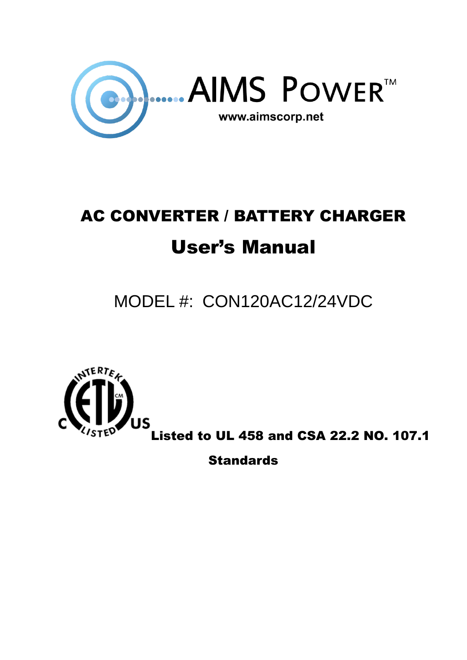

# AC CONVERTER / BATTERY CHARGER User's Manual

## MODEL #: CON120AC12/24VDC



Listed to UL 458 and CSA 22.2 NO. 107.1

**Standards**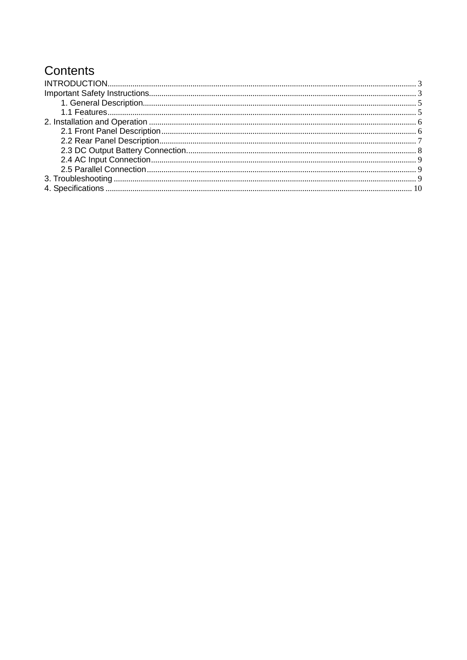## Contents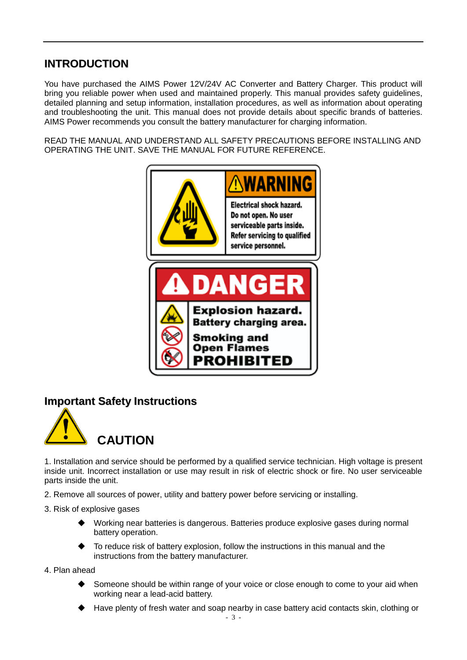#### <span id="page-2-0"></span>**INTRODUCTION**

You have purchased the AIMS Power 12V/24V AC Converter and Battery Charger. This product will bring you reliable power when used and maintained properly. This manual provides safety guidelines, detailed planning and setup information, installation procedures, as well as information about operating and troubleshooting the unit. This manual does not provide details about specific brands of batteries. AIMS Power recommends you consult the battery manufacturer for charging information.

READ THE MANUAL AND UNDERSTAND ALL SAFETY PRECAUTIONS BEFORE INSTALLING AND OPERATING THE UNIT. SAVE THE MANUAL FOR FUTURE REFERENCE.



#### <span id="page-2-1"></span>**Important Safety Instructions**



1. Installation and service should be performed by a qualified service technician. High voltage is present inside unit. Incorrect installation or use may result in risk of electric shock or fire. No user serviceable parts inside the unit.

- 2. Remove all sources of power, utility and battery power before servicing or installing.
- 3. Risk of explosive gases
	- Working near batteries is dangerous. Batteries produce explosive gases during normal battery operation.
	- To reduce risk of battery explosion, follow the instructions in this manual and the instructions from the battery manufacturer.
- 4. Plan ahead
	- Someone should be within range of your voice or close enough to come to your aid when working near a lead-acid battery.
	- Have plenty of fresh water and soap nearby in case battery acid contacts skin, clothing or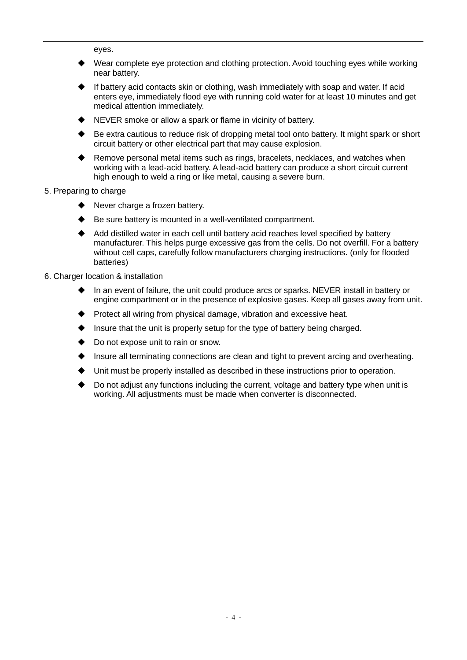eyes.

- Wear complete eye protection and clothing protection. Avoid touching eyes while working near battery.
- If battery acid contacts skin or clothing, wash immediately with soap and water. If acid enters eye, immediately flood eye with running cold water for at least 10 minutes and get medical attention immediately.
- NEVER smoke or allow a spark or flame in vicinity of battery.
- Be extra cautious to reduce risk of dropping metal tool onto battery. It might spark or short circuit battery or other electrical part that may cause explosion.
- Remove personal metal items such as rings, bracelets, necklaces, and watches when working with a lead-acid battery. A lead-acid battery can produce a short circuit current high enough to weld a ring or like metal, causing a severe burn.
- 5. Preparing to charge
	- Never charge a frozen battery.
	- Be sure battery is mounted in a well-ventilated compartment.
	- Add distilled water in each cell until battery acid reaches level specified by battery manufacturer. This helps purge excessive gas from the cells. Do not overfill. For a battery without cell caps, carefully follow manufacturers charging instructions. (only for flooded batteries)
- 6. Charger location & installation
	- In an event of failure, the unit could produce arcs or sparks. NEVER install in battery or engine compartment or in the presence of explosive gases. Keep all gases away from unit.
	- Protect all wiring from physical damage, vibration and excessive heat.
	- Insure that the unit is properly setup for the type of battery being charged.
	- Do not expose unit to rain or snow.
	- Insure all terminating connections are clean and tight to prevent arcing and overheating.
	- Unit must be properly installed as described in these instructions prior to operation.
	- Do not adjust any functions including the current, voltage and battery type when unit is working. All adjustments must be made when converter is disconnected.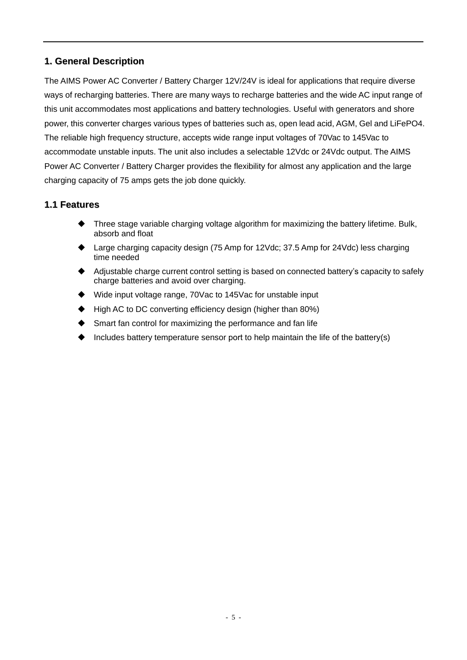#### <span id="page-4-0"></span>**1. General Description**

The AIMS Power AC Converter / Battery Charger 12V/24V is ideal for applications that require diverse ways of recharging batteries. There are many ways to recharge batteries and the wide AC input range of this unit accommodates most applications and battery technologies. Useful with generators and shore power, this converter charges various types of batteries such as, open lead acid, AGM, Gel and LiFePO4. The reliable high frequency structure, accepts wide range input voltages of 70Vac to 145Vac to accommodate unstable inputs. The unit also includes a selectable 12Vdc or 24Vdc output. The AIMS Power AC Converter / Battery Charger provides the flexibility for almost any application and the large charging capacity of 75 amps gets the job done quickly.

#### <span id="page-4-1"></span>**1.1 Features**

- Three stage variable charging voltage algorithm for maximizing the battery lifetime. Bulk, absorb and float
- Large charging capacity design (75 Amp for 12Vdc; 37.5 Amp for 24Vdc) less charging time needed
- Adjustable charge current control setting is based on connected battery's capacity to safely charge batteries and avoid over charging.
- Wide input voltage range, 70Vac to 145Vac for unstable input
- High AC to DC converting efficiency design (higher than 80%)
- Smart fan control for maximizing the performance and fan life
- Includes battery temperature sensor port to help maintain the life of the battery(s)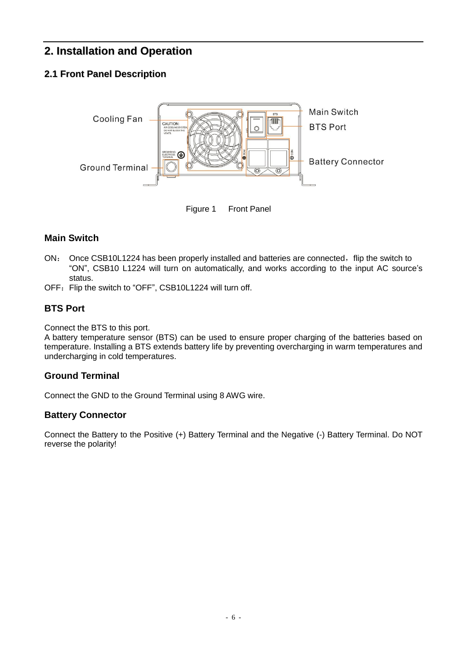#### <span id="page-5-0"></span>**2. Installation and Operation**

#### <span id="page-5-1"></span>**2.1 Front Panel Description**



Figure 1 Front Panel

#### **Main Switch**

- ON: Once CSB10L1224 has been properly installed and batteries are connected, flip the switch to "ON", CSB10 L1224 will turn on automatically, and works according to the input AC source's status.
- OFF: Flip the switch to "OFF", CSB10L1224 will turn off.

#### **BTS Port**

Connect the BTS to this port.

A battery temperature sensor (BTS) can be used to ensure proper charging of the batteries based on temperature. Installing a BTS extends battery life by preventing overcharging in warm temperatures and undercharging in cold temperatures.

#### **Ground Terminal**

Connect the GND to the Ground Terminal using 8 AWG wire.

#### **Battery Connector**

Connect the Battery to the Positive (+) Battery Terminal and the Negative (-) Battery Terminal. Do NOT reverse the polarity!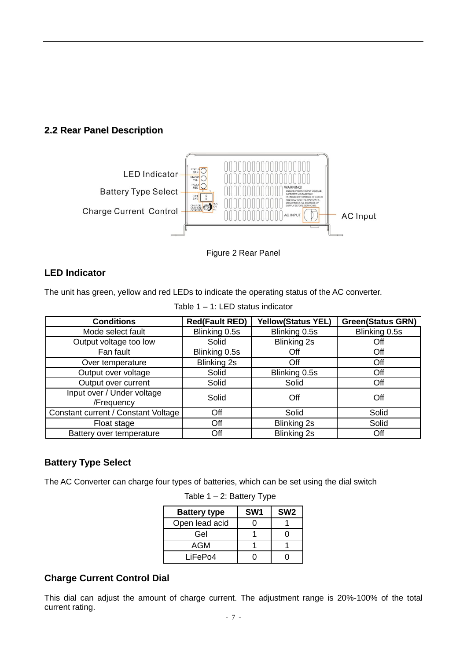<span id="page-6-0"></span>





#### **LED Indicator**

The unit has green, yellow and red LEDs to indicate the operating status of the AC converter.

| <b>Conditions</b>                        | <b>Red(Fault RED)</b> | <b>Yellow(Status YEL)</b> | <b>Green(Status GRN)</b> |
|------------------------------------------|-----------------------|---------------------------|--------------------------|
| Mode select fault                        | Blinking 0.5s         | Blinking 0.5s             | Blinking 0.5s            |
| Output voltage too low                   | Solid                 | <b>Blinking 2s</b>        | Off                      |
| Fan fault                                | Blinking 0.5s         | Off                       | Off                      |
| Over temperature                         | Blinking 2s           | Off                       | Off                      |
| Output over voltage                      | Solid                 | Blinking 0.5s             | Off                      |
| Output over current                      | Solid                 | Solid                     | Off                      |
| Input over / Under voltage<br>/Frequency | Solid                 | Off                       | Off                      |
| Constant current / Constant Voltage      | Off                   | Solid                     | Solid                    |
| Float stage                              | Off                   | Blinking 2s               | Solid                    |
| Battery over temperature                 | Off                   | <b>Blinking 2s</b>        | Off                      |

Table 1 – 1: LED status indicator

#### **Battery Type Select**

The AC Converter can charge four types of batteries, which can be set using the dial switch

| <b>Battery type</b> | SW <sub>1</sub> | SW <sub>2</sub> |
|---------------------|-----------------|-----------------|
| Open lead acid      |                 |                 |
| Gel                 |                 |                 |
| AGM                 |                 |                 |
| LiFePo4             |                 |                 |

Table  $1 - 2$ : Battery Type

#### **Charge Current Control Dial**

This dial can adjust the amount of charge current. The adjustment range is 20%-100% of the total current rating.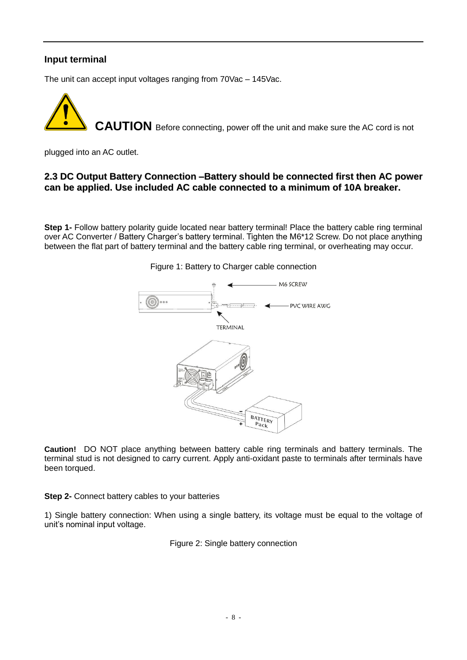#### **Input terminal**

The unit can accept input voltages ranging from 70Vac – 145Vac.



plugged into an AC outlet.

#### <span id="page-7-0"></span>**2.3 DC Output Battery Connection –Battery should be connected first then AC power can be applied. Use included AC cable connected to a minimum of 10A breaker.**

**Step 1-** Follow battery polarity guide located near battery terminal! Place the battery cable ring terminal over AC Converter / Battery Charger's battery terminal. Tighten the M6\*12 Screw. Do not place anything between the flat part of battery terminal and the battery cable ring terminal, or overheating may occur.



#### Figure 1: Battery to Charger cable connection

**Caution!** DO NOT place anything between battery cable ring terminals and battery terminals. The terminal stud is not designed to carry current. Apply anti-oxidant paste to terminals after terminals have been torqued.

**Step 2-** Connect battery cables to your batteries

1) Single battery connection: When using a single battery, its voltage must be equal to the voltage of unit's nominal input voltage.

Figure 2: Single battery connection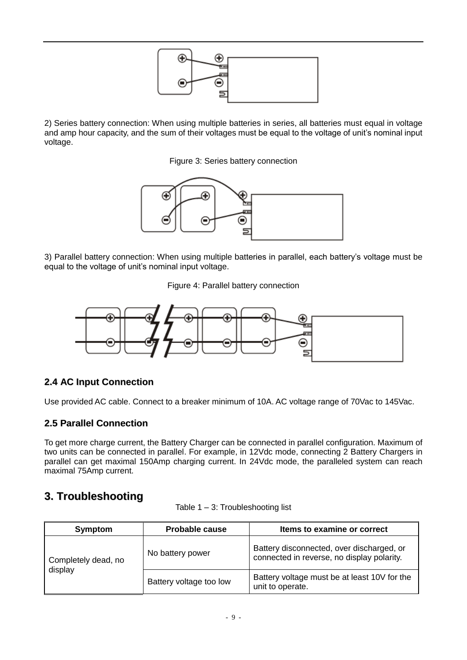

2) Series battery connection: When using multiple batteries in series, all batteries must equal in voltage and amp hour capacity, and the sum of their voltages must be equal to the voltage of unit's nominal input voltage.

Figure 3: Series battery connection



3) Parallel battery connection: When using multiple batteries in parallel, each battery's voltage must be equal to the voltage of unit's nominal input voltage.

Figure 4: Parallel battery connection



#### <span id="page-8-0"></span>**2.4 AC Input Connection**

Use provided AC cable. Connect to a breaker minimum of 10A. AC voltage range of 70Vac to 145Vac.

#### <span id="page-8-1"></span>**2.5 Parallel Connection**

To get more charge current, the Battery Charger can be connected in parallel configuration. Maximum of two units can be connected in parallel. For example, in 12Vdc mode, connecting 2 Battery Chargers in parallel can get maximal 150Amp charging current. In 24Vdc mode, the paralleled system can reach maximal 75Amp current.

#### <span id="page-8-2"></span>**3. Troubleshooting**

| <b>Symptom</b>                 | <b>Probable cause</b>   | Items to examine or correct                                                             |
|--------------------------------|-------------------------|-----------------------------------------------------------------------------------------|
| Completely dead, no<br>display | No battery power        | Battery disconnected, over discharged, or<br>connected in reverse, no display polarity. |
|                                | Battery voltage too low | Battery voltage must be at least 10V for the<br>unit to operate.                        |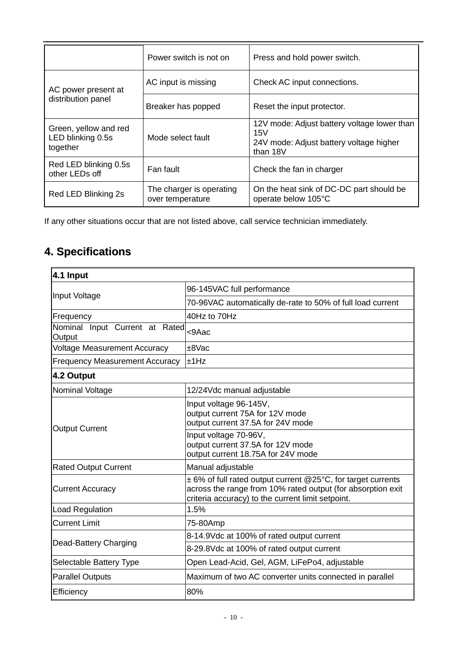|                                                        | Power switch is not on                       | Press and hold power switch.                                                                              |
|--------------------------------------------------------|----------------------------------------------|-----------------------------------------------------------------------------------------------------------|
| AC power present at<br>distribution panel              | AC input is missing                          | Check AC input connections.                                                                               |
|                                                        | Breaker has popped                           | Reset the input protector.                                                                                |
| Green, yellow and red<br>LED blinking 0.5s<br>together | Mode select fault                            | 12V mode: Adjust battery voltage lower than<br>15V<br>24V mode: Adjust battery voltage higher<br>than 18V |
| Red LED blinking 0.5s<br>other LEDs off                | Fan fault                                    | Check the fan in charger                                                                                  |
| Red LED Blinking 2s                                    | The charger is operating<br>over temperature | On the heat sink of DC-DC part should be<br>operate below 105°C                                           |

If any other situations occur that are not listed above, call service technician immediately.

### <span id="page-9-0"></span>**4. Specifications**

| 4.1 Input                                |                                                                                                                                                                                 |
|------------------------------------------|---------------------------------------------------------------------------------------------------------------------------------------------------------------------------------|
|                                          | 96-145VAC full performance                                                                                                                                                      |
| Input Voltage                            | 70-96VAC automatically de-rate to 50% of full load current                                                                                                                      |
| Frequency                                | 40Hz to 70Hz                                                                                                                                                                    |
| Nominal Input Current at Rated<br>Output | <9Aac                                                                                                                                                                           |
| <b>Voltage Measurement Accuracy</b>      | ±8Vac                                                                                                                                                                           |
| <b>Frequency Measurement Accuracy</b>    | $\pm$ 1Hz                                                                                                                                                                       |
| 4.2 Output                               |                                                                                                                                                                                 |
| Nominal Voltage                          | 12/24Vdc manual adjustable                                                                                                                                                      |
| <b>Output Current</b>                    | Input voltage 96-145V,<br>output current 75A for 12V mode<br>output current 37.5A for 24V mode                                                                                  |
|                                          | Input voltage 70-96V,<br>output current 37.5A for 12V mode<br>output current 18.75A for 24V mode                                                                                |
| <b>Rated Output Current</b>              | Manual adjustable                                                                                                                                                               |
| <b>Current Accuracy</b>                  | ±6% of full rated output current @25°C, for target currents<br>across the range from 10% rated output (for absorption exit<br>criteria accuracy) to the current limit setpoint. |
| Load Regulation                          | 1.5%                                                                                                                                                                            |
| <b>Current Limit</b>                     | 75-80Amp                                                                                                                                                                        |
|                                          | 8-14.9Vdc at 100% of rated output current                                                                                                                                       |
| Dead-Battery Charging                    | 8-29.8Vdc at 100% of rated output current                                                                                                                                       |
| Selectable Battery Type                  | Open Lead-Acid, Gel, AGM, LiFePo4, adjustable                                                                                                                                   |
| <b>Parallel Outputs</b>                  | Maximum of two AC converter units connected in parallel                                                                                                                         |
| Efficiency                               | 80%                                                                                                                                                                             |